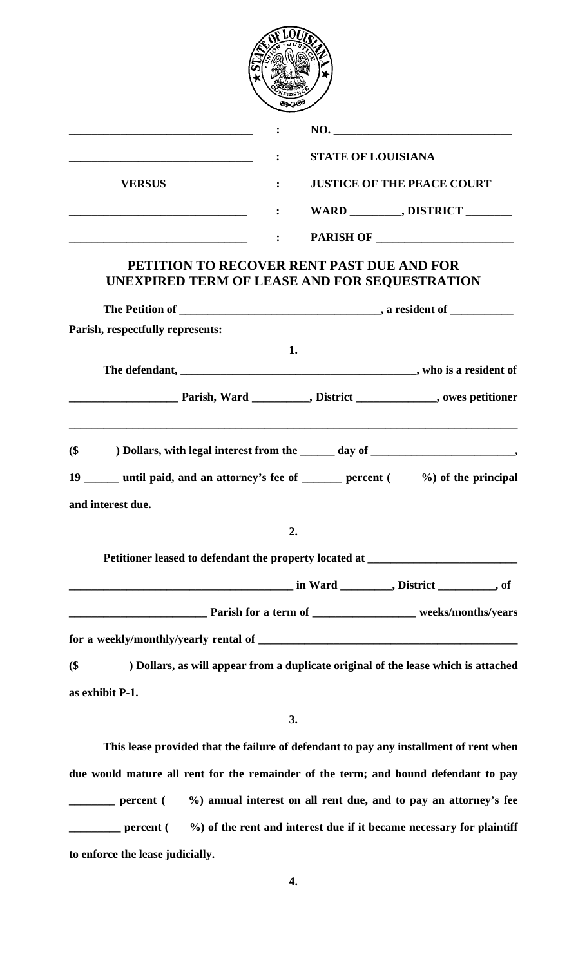|               |                | NO.                               |
|---------------|----------------|-----------------------------------|
|               | $\ddot{\cdot}$ | <b>STATE OF LOUISIANA</b>         |
| <b>VERSUS</b> | $\bullet$      | <b>JUSTICE OF THE PEACE COURT</b> |
|               |                | WARD _________, DISTRICT _______  |
|               |                | <b>PARISH OF</b>                  |

## **PETITION TO RECOVER RENT PAST DUE AND FOR UNEXPIRED TERM OF LEASE AND FOR SEQUESTRATION**

| Parish, respectfully represents:                                                        |  |  |
|-----------------------------------------------------------------------------------------|--|--|
| 1.                                                                                      |  |  |
|                                                                                         |  |  |
| <b>Example 2018</b> Parish, Ward <u>Community District Community o</u> f the petitioner |  |  |
| $$^{(5)}$$                                                                              |  |  |
| 19 _____ until paid, and an attorney's fee of ______ percent ( $\%$ ) of the principal  |  |  |
| and interest due.                                                                       |  |  |

**2.** 

| Petitioner leased to defendant the property located at <b>Exercise 2.1 September 2.1 September</b> |  |                                                                   |
|----------------------------------------------------------------------------------------------------|--|-------------------------------------------------------------------|
|                                                                                                    |  | in Ward (but in Ward ), District (but is not only in North 2003). |
| <b>Parish for a term of</b>                                                                        |  | weeks/months/years                                                |
| for a weekly/monthly/yearly rental of _                                                            |  |                                                                   |

**(\$ ) Dollars, as will appear from a duplicate original of the lease which is attached as exhibit P-1.** 

**3.** 

 **This lease provided that the failure of defendant to pay any installment of rent when due would mature all rent for the remainder of the term; and bound defendant to pay \_\_\_\_** percent ( %) annual interest on all rent due, and to pay an attorney's fee **\_\_\_\_** percent ( %) of the rent and interest due if it became necessary for plaintiff **to enforce the lease judicially.**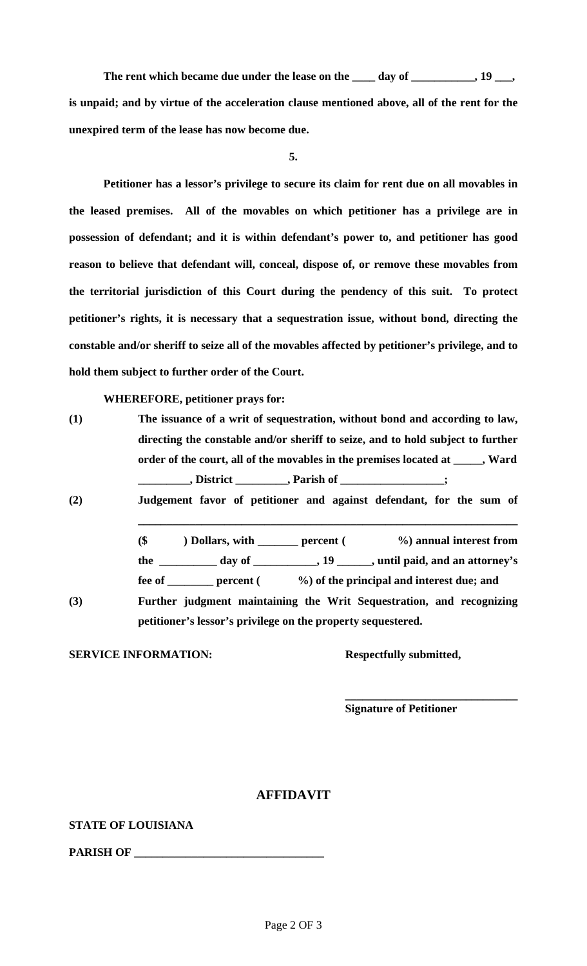The rent which became due under the lease on the \_\_\_\_ day of \_\_\_\_\_\_\_\_\_, 19 \_\_\_, is unpaid; and by virtue of the acceleration clause mentioned above, all of the rent for the **unexpired term of the lease has now become due.** 

**5.** 

**Petitioner has a lessor's privilege to secure its claim for rent due on all movables in the leased premises. All of the movables on which petitioner has a privilege are in possession of defendant; and it is within defendant's power to, and petitioner has good reason to believe that defendant will, conceal, dispose of, or remove these movables from the territorial jurisdiction of this Court during the pendency of this suit. To protect petitioner's rights, it is necessary that a sequestration issue, without bond, directing the constable and/or sheriff to seize all of the movables affected by petitioner's privilege, and to hold them subject to further order of the Court.** 

 **WHEREFORE, petitioner prays for:** 

| (1) | The issuance of a writ of sequestration, without bond and according to law,     |
|-----|---------------------------------------------------------------------------------|
|     | directing the constable and/or sheriff to seize, and to hold subject to further |
|     | order of the court, all of the movables in the premises located at _____, Ward  |
|     | _, Parish of _<br>, District $\_$                                               |

**(2) Judgement favor of petitioner and against defendant, for the sum of** 

 **(\$ ) Dollars, with \_\_\_\_\_\_\_ percent ( %) annual interest from the \_\_\_\_\_\_\_\_\_\_ day of \_\_\_\_\_\_\_\_\_\_\_, 19 \_\_\_\_\_\_, until paid, and an attorney's** 

**\_\_\_\_\_\_\_\_\_\_\_\_\_\_\_\_\_\_\_\_\_\_\_\_\_\_\_\_\_\_\_\_\_\_\_\_\_\_\_\_\_\_\_\_\_\_\_\_\_\_\_\_\_\_\_\_\_\_\_\_\_\_\_\_\_\_** 

**fee of \_\_\_\_\_\_\_\_ percent ( %) of the principal and interest due; and** 

**(3) Further judgment maintaining the Writ Sequestration, and recognizing petitioner's lessor's privilege on the property sequestered.** 

 $\overline{\phantom{a}}$  , which is a set of  $\overline{\phantom{a}}$  , which is a set of  $\overline{\phantom{a}}$  , which is a set of  $\overline{\phantom{a}}$  , which is a set of  $\overline{\phantom{a}}$  , which is a set of  $\overline{\phantom{a}}$  , which is a set of  $\overline{\phantom{a}}$  , which is a set

**SERVICE INFORMATION:** Respectfully submitted,

 **Signature of Petitioner** 

## **AFFIDAVIT**

## **STATE OF LOUISIANA**

PARISH OF